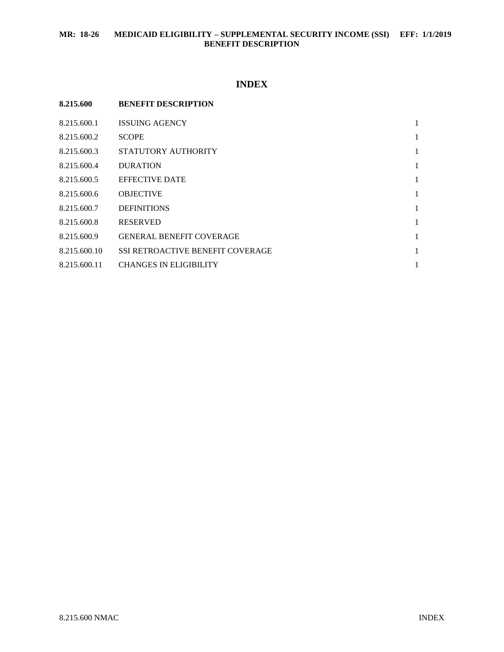# **INDEX**

| 8.215.600    | <b>BENEFIT DESCRIPTION</b>              |   |
|--------------|-----------------------------------------|---|
| 8.215.600.1  | <b>ISSUING AGENCY</b>                   | 1 |
| 8.215.600.2  | <b>SCOPE</b>                            | 1 |
| 8.215.600.3  | STATUTORY AUTHORITY                     | 1 |
| 8.215.600.4  | <b>DURATION</b>                         | 1 |
| 8.215.600.5  | <b>EFFECTIVE DATE</b>                   | 1 |
| 8.215.600.6  | <b>OBJECTIVE</b>                        | 1 |
| 8.215.600.7  | <b>DEFINITIONS</b>                      | 1 |
| 8.215.600.8  | <b>RESERVED</b>                         | 1 |
| 8.215.600.9  | <b>GENERAL BENEFIT COVERAGE</b>         | 1 |
| 8.215.600.10 | <b>SSI RETROACTIVE BENEFIT COVERAGE</b> | 1 |
| 8.215.600.11 | <b>CHANGES IN ELIGIBILITY</b>           | 1 |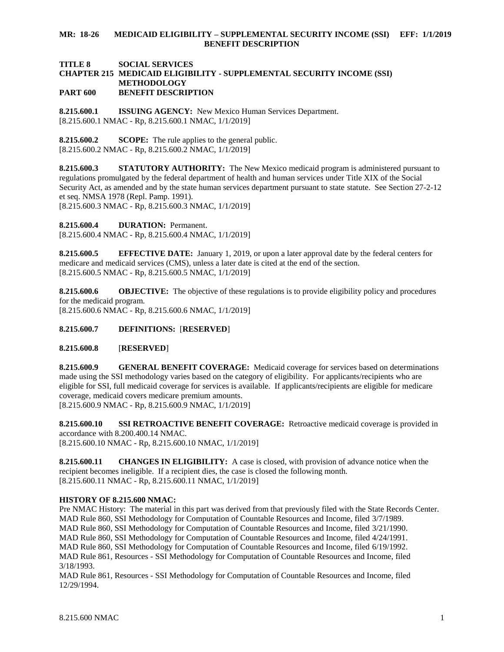#### **MR: 18-26 MEDICAID ELIGIBILITY – SUPPLEMENTAL SECURITY INCOME (SSI) EFF: 1/1/2019 BENEFIT DESCRIPTION**

#### **TITLE 8 SOCIAL SERVICES CHAPTER 215 MEDICAID ELIGIBILITY - SUPPLEMENTAL SECURITY INCOME (SSI) METHODOLOGY PART 600 BENEFIT DESCRIPTION**

<span id="page-1-0"></span>**8.215.600.1 ISSUING AGENCY:** New Mexico Human Services Department. [8.215.600.1 NMAC - Rp, 8.215.600.1 NMAC, 1/1/2019]

<span id="page-1-1"></span>**8.215.600.2 SCOPE:** The rule applies to the general public. [8.215.600.2 NMAC - Rp, 8.215.600.2 NMAC, 1/1/2019]

<span id="page-1-2"></span>**8.215.600.3 STATUTORY AUTHORITY:** The New Mexico medicaid program is administered pursuant to regulations promulgated by the federal department of health and human services under Title XIX of the Social Security Act, as amended and by the state human services department pursuant to state statute. See Section 27-2-12 et seq. NMSA 1978 (Repl. Pamp. 1991). [8.215.600.3 NMAC - Rp, 8.215.600.3 NMAC, 1/1/2019]

<span id="page-1-3"></span>**8.215.600.4 DURATION:** Permanent.

[8.215.600.4 NMAC - Rp, 8.215.600.4 NMAC, 1/1/2019]

<span id="page-1-4"></span>**8.215.600.5 EFFECTIVE DATE:** January 1, 2019, or upon a later approval date by the federal centers for medicare and medicaid services (CMS), unless a later date is cited at the end of the section. [8.215.600.5 NMAC - Rp, 8.215.600.5 NMAC, 1/1/2019]

<span id="page-1-5"></span>**8.215.600.6 OBJECTIVE:** The objective of these regulations is to provide eligibility policy and procedures for the medicaid program. [8.215.600.6 NMAC - Rp, 8.215.600.6 NMAC, 1/1/2019]

<span id="page-1-6"></span>**8.215.600.7 DEFINITIONS:** [**RESERVED**]

## <span id="page-1-7"></span>**8.215.600.8** [**RESERVED**]

<span id="page-1-8"></span>**8.215.600.9 GENERAL BENEFIT COVERAGE:** Medicaid coverage for services based on determinations made using the SSI methodology varies based on the category of eligibility. For applicants/recipients who are eligible for SSI, full medicaid coverage for services is available. If applicants/recipients are eligible for medicare coverage, medicaid covers medicare premium amounts. [8.215.600.9 NMAC - Rp, 8.215.600.9 NMAC, 1/1/2019]

<span id="page-1-9"></span>**8.215.600.10 SSI RETROACTIVE BENEFIT COVERAGE:** Retroactive medicaid coverage is provided in accordance with 8.200.400.14 NMAC.

[8.215.600.10 NMAC - Rp, 8.215.600.10 NMAC, 1/1/2019]

<span id="page-1-10"></span>**8.215.600.11 CHANGES IN ELIGIBILITY:** A case is closed, with provision of advance notice when the recipient becomes ineligible. If a recipient dies, the case is closed the following month. [8.215.600.11 NMAC - Rp, 8.215.600.11 NMAC, 1/1/2019]

## **HISTORY OF 8.215.600 NMAC:**

Pre NMAC History: The material in this part was derived from that previously filed with the State Records Center. MAD Rule 860, SSI Methodology for Computation of Countable Resources and Income, filed 3/7/1989. MAD Rule 860, SSI Methodology for Computation of Countable Resources and Income, filed 3/21/1990. MAD Rule 860, SSI Methodology for Computation of Countable Resources and Income, filed 4/24/1991. MAD Rule 860, SSI Methodology for Computation of Countable Resources and Income, filed 6/19/1992. MAD Rule 861, Resources - SSI Methodology for Computation of Countable Resources and Income, filed 3/18/1993.

MAD Rule 861, Resources - SSI Methodology for Computation of Countable Resources and Income, filed 12/29/1994.